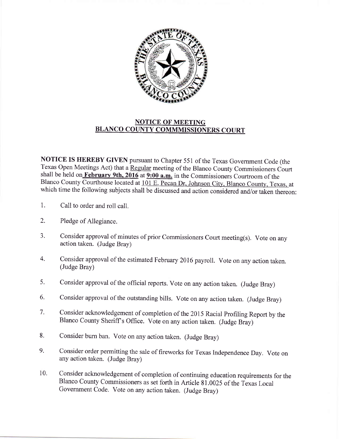

## NOTICE OF MEETING BLANCO COUNTY COMMMISSIONERS COURT

NOTICE IS HEREBY GIVEN pursuant to Chapter 551 of the Texas Govemment Code (the Texas Open Meetings Act) that a Regular meeting of the Blanco County Commissioners Court shall be held on February 9th, 2016 at 9:00 a.m. in the Commissioners Courtroom of the Blanco County Courthouse located at 101 E. Pecan Dr, Johnson City, Blanco County, Texas, at which time the following subjects shall be discussed and action considered and/or taken thereon:

- 1. Call to order and roll call.
- 2. Pledge of Allegiance.
- 3. Consider approval of minutes of prior Commissioners Court meeting(s). Vote on any action taken. (Judge Bray)
- 4. Consider approval of the estimated February 2016 payroll. Vote on any action taken. (Judge Bray)
- consider approval of the official reports. vote on any action taken. (Judge Bray) 5.
- Consider approval of the outstanding bills. Vote on any action taken. (Judge Bray) 6.
- Consider acknowledgement of completion of the 2015 Racial Profiling Report by the Blanco County Sheriff's Office. Vote on any action taken. (Judge Bray) 7.
- Consider bum ban. Vote on any action taken. (Judge Bray) 8.
- Consider order permitting the sale of fireworks for Texas Independence Day. Vote on any action taken. (Judge Bray) 9.
- Consider acknowledgement of completion of continuing education requirements for the Blanco County Commissioners as set forth in Article 81.0025 of the Texas Local Govemment Code. Vote on any action taken. (Judge Bray) 10.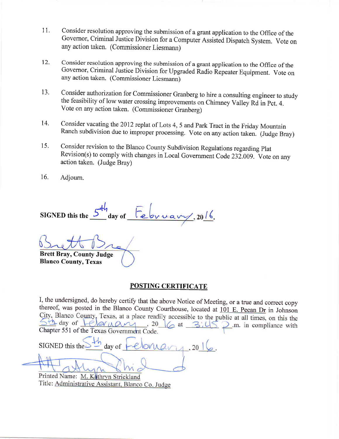- 11. Consider resolution approving the submission of a grant application to the Office of the Governor, Criminal Justice Division for a Computer Assisted Dispatch System. Vote on any action taken. (Commissioner Liesmann)
- Consider resolution approving the submission of a grant application to the Office of the Governor, Criminal Justice Division for Upgraded Radio Repeater Equipment. Vote on any action taken. (Commissioner Liesmann) t2.
- Consider authorization for Commissioner Granberg to hire a consulting engineer to study the feasibility of low water crossing improvements on Chimney Valley Rd in Pct. 4. Vote on any action taken. (Commissioner Granberg) 13.
- Consider vacating the 2012 replat of Lots 4, 5 and Park Tract in the Friday Mountain Ranch subdivision due to improper processing. Vote on any action taken. (Judge Bray) 14.
- Consider revision to the Blanco County Subdivision Regulations regarding plat Revision(s) to comply with changes in Local Government Code232.009. Vote on anv action taken. (Judge Bray) 15.
- Adjourn. 16.

 $\mathsf{c}^{\mathsf{H}\mathsf{h}}$ SIGNED this the  $\geq$  day of  $, 20/6.$ 

Brett Bray, County Judge Blanco County, Texas

## POSTING CERTIFICATE

I, the undersigned, do hereby certify that the above Notice of Meeting, or a true and correct copy thereof, was posted in the Blanco County Courthouse, located at 101 E. Pecan Dr in Johnson City, Blanco County, Texas, at a  $\underbrace{\bigcirc \uparrow h}_{\text{clayer}}$  day of  $\underbrace{\bigcirc \downarrow \phi \land \phi \land \phi \land \phi}_{\text{Chapter 551 of the Texas Government Code}}$ , 20  $\underbrace{\bigcirc \downarrow \phi}_{\text{cat}}$  at  $\mathbb{R}$  $\sum$ .m. in compliance with

 $S$ IGNED this the day of  $20$ 

Printed Name: M. Kathryn Strickland Title: Administrative Assistant, Blanco Co. Judge